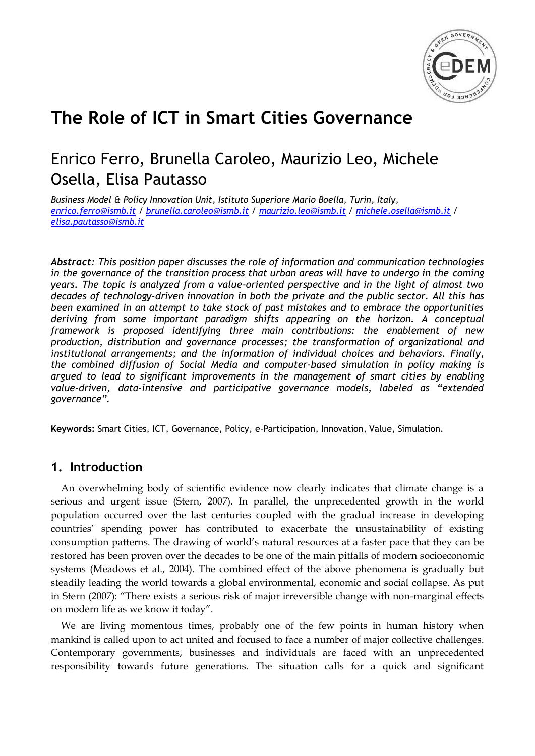

# **The Role of ICT in Smart Cities Governance**

## Enrico Ferro, Brunella Caroleo, Maurizio Leo, Michele Osella, Elisa Pautasso

*Business Model & Policy Innovation Unit, Istituto Superiore Mario Boella, Turin, Italy, [enrico.ferro@ismb.it](mailto:enrico.ferro@ismb.it) / [brunella.caroleo@ismb.it](mailto:brunella.caroleo@ismb.it) / [maurizio.leo@ismb.it](mailto:maurizio.leo@ismb.it) / [michele.osella@ismb.it](mailto:michele.osella@ismb.it) / [elisa.pautasso@ismb.it](mailto:elisa.pautasso@ismb.it)*

*Abstract: This position paper discusses the role of information and communication technologies in the governance of the transition process that urban areas will have to undergo in the coming years. The topic is analyzed from a value-oriented perspective and in the light of almost two decades of technology-driven innovation in both the private and the public sector. All this has been examined in an attempt to take stock of past mistakes and to embrace the opportunities deriving from some important paradigm shifts appearing on the horizon. A conceptual framework is proposed identifying three main contributions: the enablement of new production, distribution and governance processes; the transformation of organizational and institutional arrangements; and the information of individual choices and behaviors. Finally, the combined diffusion of Social Media and computer-based simulation in policy making is argued to lead to significant improvements in the management of smart cities by enabling value-driven, data-intensive and participative governance models, labeled as "extended governance".*

**Keywords:** Smart Cities, ICT, Governance, Policy, e-Participation, Innovation, Value, Simulation.

### **1. Introduction**

An overwhelming body of scientific evidence now clearly indicates that climate change is a serious and urgent issue (Stern, 2007). In parallel, the unprecedented growth in the world population occurred over the last centuries coupled with the gradual increase in developing countries' spending power has contributed to exacerbate the unsustainability of existing consumption patterns. The drawing of world's natural resources at a faster pace that they can be restored has been proven over the decades to be one of the main pitfalls of modern socioeconomic systems (Meadows et al., 2004). The combined effect of the above phenomena is gradually but steadily leading the world towards a global environmental, economic and social collapse. As put in Stern (2007): "There exists a serious risk of major irreversible change with non-marginal effects on modern life as we know it today".

We are living momentous times, probably one of the few points in human history when mankind is called upon to act united and focused to face a number of major collective challenges. Contemporary governments, businesses and individuals are faced with an unprecedented responsibility towards future generations. The situation calls for a quick and significant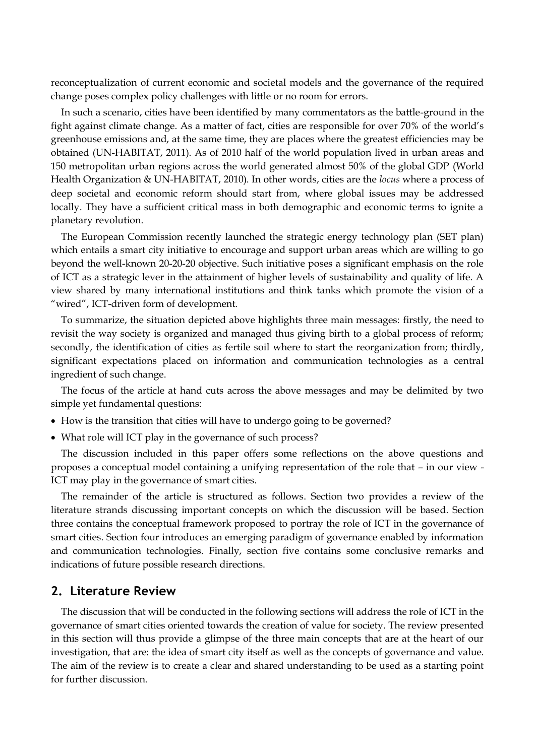reconceptualization of current economic and societal models and the governance of the required change poses complex policy challenges with little or no room for errors.

In such a scenario, cities have been identified by many commentators as the battle-ground in the fight against climate change. As a matter of fact, cities are responsible for over 70% of the world's greenhouse emissions and, at the same time, they are places where the greatest efficiencies may be obtained (UN-HABITAT, 2011). As of 2010 half of the world population lived in urban areas and 150 metropolitan urban regions across the world generated almost 50% of the global GDP (World Health Organization & UN-HABITAT, 2010). In other words, cities are the *locus* where a process of deep societal and economic reform should start from, where global issues may be addressed locally. They have a sufficient critical mass in both demographic and economic terms to ignite a planetary revolution.

The European Commission recently launched the strategic energy technology plan (SET plan) which entails a smart city initiative to encourage and support urban areas which are willing to go beyond the well-known 20-20-20 objective. Such initiative poses a significant emphasis on the role of ICT as a strategic lever in the attainment of higher levels of sustainability and quality of life. A view shared by many international institutions and think tanks which promote the vision of a "wired", ICT-driven form of development.

To summarize, the situation depicted above highlights three main messages: firstly, the need to revisit the way society is organized and managed thus giving birth to a global process of reform; secondly, the identification of cities as fertile soil where to start the reorganization from; thirdly, significant expectations placed on information and communication technologies as a central ingredient of such change.

The focus of the article at hand cuts across the above messages and may be delimited by two simple yet fundamental questions:

- How is the transition that cities will have to undergo going to be governed?
- What role will ICT play in the governance of such process?

The discussion included in this paper offers some reflections on the above questions and proposes a conceptual model containing a unifying representation of the role that – in our view - ICT may play in the governance of smart cities.

The remainder of the article is structured as follows. Section two provides a review of the literature strands discussing important concepts on which the discussion will be based. Section three contains the conceptual framework proposed to portray the role of ICT in the governance of smart cities. Section four introduces an emerging paradigm of governance enabled by information and communication technologies. Finally, section five contains some conclusive remarks and indications of future possible research directions.

### **2. Literature Review**

The discussion that will be conducted in the following sections will address the role of ICT in the governance of smart cities oriented towards the creation of value for society. The review presented in this section will thus provide a glimpse of the three main concepts that are at the heart of our investigation, that are: the idea of smart city itself as well as the concepts of governance and value. The aim of the review is to create a clear and shared understanding to be used as a starting point for further discussion.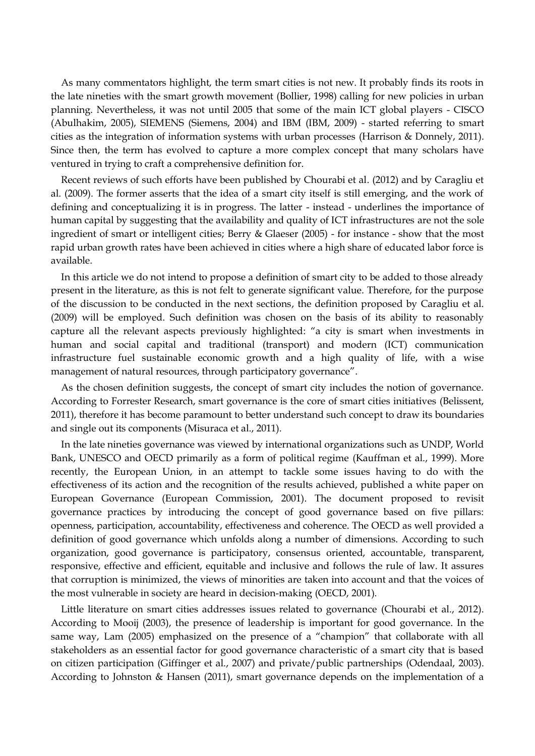As many commentators highlight, the term smart cities is not new. It probably finds its roots in the late nineties with the smart growth movement (Bollier, 1998) calling for new policies in urban planning. Nevertheless, it was not until 2005 that some of the main ICT global players - CISCO (Abulhakim, 2005), SIEMENS (Siemens, 2004) and IBM (IBM, 2009) - started referring to smart cities as the integration of information systems with urban processes (Harrison & Donnely, 2011). Since then, the term has evolved to capture a more complex concept that many scholars have ventured in trying to craft a comprehensive definition for.

Recent reviews of such efforts have been published by Chourabi et al. (2012) and by Caragliu et al. (2009). The former asserts that the idea of a smart city itself is still emerging, and the work of defining and conceptualizing it is in progress. The latter - instead - underlines the importance of human capital by suggesting that the availability and quality of ICT infrastructures are not the sole ingredient of smart or intelligent cities; Berry & Glaeser (2005) - for instance - show that the most rapid urban growth rates have been achieved in cities where a high share of educated labor force is available.

In this article we do not intend to propose a definition of smart city to be added to those already present in the literature, as this is not felt to generate significant value. Therefore, for the purpose of the discussion to be conducted in the next sections, the definition proposed by Caragliu et al. (2009) will be employed. Such definition was chosen on the basis of its ability to reasonably capture all the relevant aspects previously highlighted: "a city is smart when investments in human and social capital and traditional (transport) and modern (ICT) communication infrastructure fuel sustainable economic growth and a high quality of life, with a wise management of natural resources, through participatory governance".

As the chosen definition suggests, the concept of smart city includes the notion of governance. According to Forrester Research, smart governance is the core of smart cities initiatives (Belissent, 2011), therefore it has become paramount to better understand such concept to draw its boundaries and single out its components (Misuraca et al., 2011).

In the late nineties governance was viewed by international organizations such as UNDP, World Bank, UNESCO and OECD primarily as a form of political regime (Kauffman et al., 1999). More recently, the European Union, in an attempt to tackle some issues having to do with the effectiveness of its action and the recognition of the results achieved, published a white paper on European Governance (European Commission, 2001). The document proposed to revisit governance practices by introducing the concept of good governance based on five pillars: openness, participation, accountability, effectiveness and coherence. The OECD as well provided a definition of good governance which unfolds along a number of dimensions. According to such organization, good governance is participatory, consensus oriented, accountable, transparent, responsive, effective and efficient, equitable and inclusive and follows the rule of law. It assures that corruption is minimized, the views of minorities are taken into account and that the voices of the most vulnerable in society are heard in decision-making (OECD, 2001).

Little literature on smart cities addresses issues related to governance (Chourabi et al., 2012). According to Mooij (2003), the presence of leadership is important for good governance. In the same way, Lam (2005) emphasized on the presence of a "champion" that collaborate with all stakeholders as an essential factor for good governance characteristic of a smart city that is based on citizen participation (Giffinger et al., 2007) and private/public partnerships (Odendaal, 2003). According to Johnston & Hansen (2011), smart governance depends on the implementation of a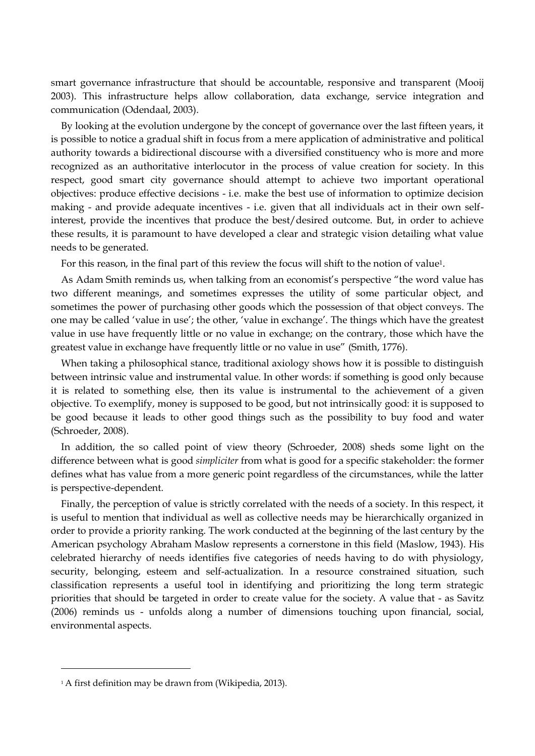smart governance infrastructure that should be accountable, responsive and transparent (Mooij 2003). This infrastructure helps allow collaboration, data exchange, service integration and communication (Odendaal, 2003).

By looking at the evolution undergone by the concept of governance over the last fifteen years, it is possible to notice a gradual shift in focus from a mere application of administrative and political authority towards a bidirectional discourse with a diversified constituency who is more and more recognized as an authoritative interlocutor in the process of value creation for society. In this respect, good smart city governance should attempt to achieve two important operational objectives: produce effective decisions - i.e. make the best use of information to optimize decision making - and provide adequate incentives - i.e. given that all individuals act in their own selfinterest, provide the incentives that produce the best/desired outcome. But, in order to achieve these results, it is paramount to have developed a clear and strategic vision detailing what value needs to be generated.

For this reason, in the final part of this review the focus will shift to the notion of value1.

As Adam Smith reminds us, when talking from an economist's perspective "the word value has two different meanings, and sometimes expresses the utility of some particular object, and sometimes the power of purchasing other goods which the possession of that object conveys. The one may be called 'value in use'; the other, 'value in exchange'. The things which have the greatest value in use have frequently little or no value in exchange; on the contrary, those which have the greatest value in exchange have frequently little or no value in use" (Smith, 1776).

When taking a philosophical stance, traditional axiology shows how it is possible to distinguish between intrinsic value and instrumental value. In other words: if something is good only because it is related to something else, then its value is instrumental to the achievement of a given objective. To exemplify, money is supposed to be good, but not intrinsically good: it is supposed to be good because it leads to other good things such as the possibility to buy food and water (Schroeder, 2008).

In addition, the so called point of view theory (Schroeder, 2008) sheds some light on the difference between what is good *simpliciter* from what is good for a specific stakeholder: the former defines what has value from a more generic point regardless of the circumstances, while the latter is perspective-dependent.

Finally, the perception of value is strictly correlated with the needs of a society. In this respect, it is useful to mention that individual as well as collective needs may be hierarchically organized in order to provide a priority ranking. The work conducted at the beginning of the last century by the American psychology Abraham Maslow represents a cornerstone in this field (Maslow, 1943). His celebrated hierarchy of needs identifies five categories of needs having to do with physiology, security, belonging, esteem and self-actualization. In a resource constrained situation, such classification represents a useful tool in identifying and prioritizing the long term strategic priorities that should be targeted in order to create value for the society. A value that - as Savitz (2006) reminds us - unfolds along a number of dimensions touching upon financial, social, environmental aspects.

 $\overline{a}$ 

<sup>&</sup>lt;sup>1</sup> A first definition may be drawn from (Wikipedia, 2013).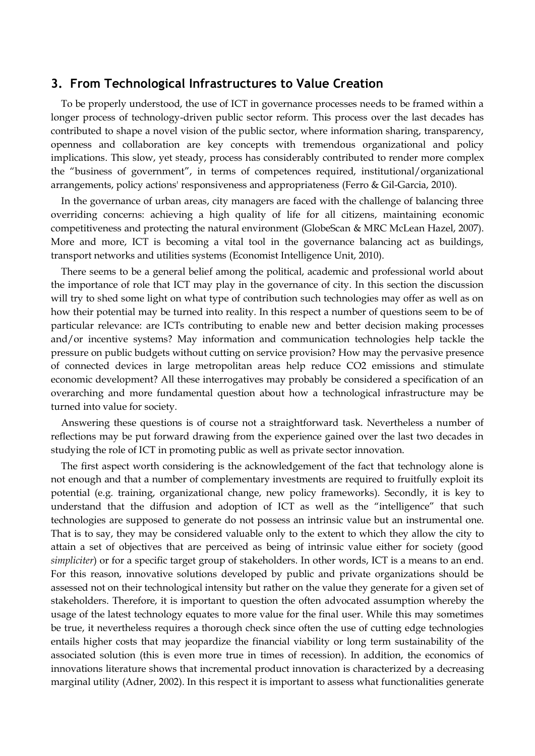### **3. From Technological Infrastructures to Value Creation**

To be properly understood, the use of ICT in governance processes needs to be framed within a longer process of technology-driven public sector reform. This process over the last decades has contributed to shape a novel vision of the public sector, where information sharing, transparency, openness and collaboration are key concepts with tremendous organizational and policy implications. This slow, yet steady, process has considerably contributed to render more complex the "business of government", in terms of competences required, institutional/organizational arrangements, policy actions' responsiveness and appropriateness (Ferro & Gil-Garcia, 2010).

In the governance of urban areas, city managers are faced with the challenge of balancing three overriding concerns: achieving a high quality of life for all citizens, maintaining economic competitiveness and protecting the natural environment (GlobeScan & MRC McLean Hazel, 2007). More and more, ICT is becoming a vital tool in the governance balancing act as buildings, transport networks and utilities systems (Economist Intelligence Unit, 2010).

There seems to be a general belief among the political, academic and professional world about the importance of role that ICT may play in the governance of city. In this section the discussion will try to shed some light on what type of contribution such technologies may offer as well as on how their potential may be turned into reality. In this respect a number of questions seem to be of particular relevance: are ICTs contributing to enable new and better decision making processes and/or incentive systems? May information and communication technologies help tackle the pressure on public budgets without cutting on service provision? How may the pervasive presence of connected devices in large metropolitan areas help reduce CO2 emissions and stimulate economic development? All these interrogatives may probably be considered a specification of an overarching and more fundamental question about how a technological infrastructure may be turned into value for society.

Answering these questions is of course not a straightforward task. Nevertheless a number of reflections may be put forward drawing from the experience gained over the last two decades in studying the role of ICT in promoting public as well as private sector innovation.

The first aspect worth considering is the acknowledgement of the fact that technology alone is not enough and that a number of complementary investments are required to fruitfully exploit its potential (e.g. training, organizational change, new policy frameworks). Secondly, it is key to understand that the diffusion and adoption of ICT as well as the "intelligence" that such technologies are supposed to generate do not possess an intrinsic value but an instrumental one. That is to say, they may be considered valuable only to the extent to which they allow the city to attain a set of objectives that are perceived as being of intrinsic value either for society (good *simpliciter*) or for a specific target group of stakeholders. In other words, ICT is a means to an end. For this reason, innovative solutions developed by public and private organizations should be assessed not on their technological intensity but rather on the value they generate for a given set of stakeholders. Therefore, it is important to question the often advocated assumption whereby the usage of the latest technology equates to more value for the final user. While this may sometimes be true, it nevertheless requires a thorough check since often the use of cutting edge technologies entails higher costs that may jeopardize the financial viability or long term sustainability of the associated solution (this is even more true in times of recession). In addition, the economics of innovations literature shows that incremental product innovation is characterized by a decreasing marginal utility (Adner, 2002). In this respect it is important to assess what functionalities generate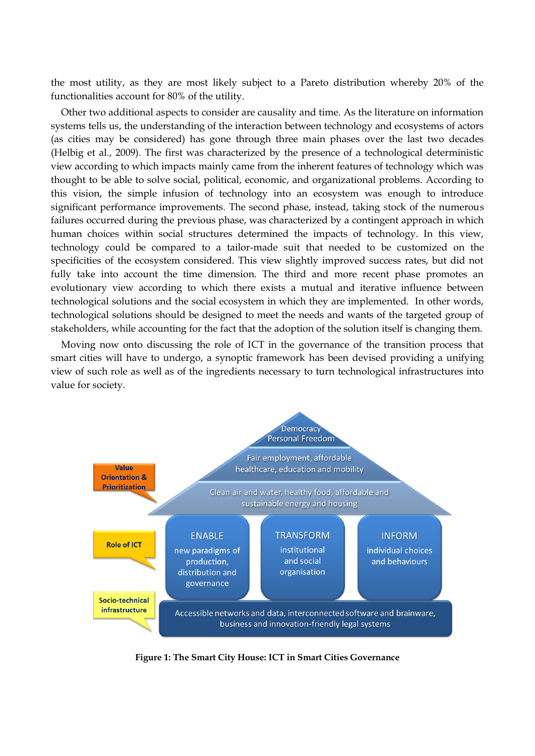the most utility, as they are most likely subject to a Pareto distribution whereby 20% of the functionalities account for 80% of the utility.

Other two additional aspects to consider are causality and time. As the literature on information systems tells us, the understanding of the interaction between technology and ecosystems of actors (as cities may be considered) has gone through three main phases over the last two decades (Helbig et al., 2009). The first was characterized by the presence of a technological deterministic view according to which impacts mainly came from the inherent features of technology which was thought to be able to solve social, political, economic, and organizational problems. According to this vision, the simple infusion of technology into an ecosystem was enough to introduce significant performance improvements. The second phase, instead, taking stock of the numerous failures occurred during the previous phase, was characterized by a contingent approach in which human choices within social structures determined the impacts of technology. In this view, technology could be compared to a tailor-made suit that needed to be customized on the specificities of the ecosystem considered. This view slightly improved success rates, but did not fully take into account the time dimension. The third and more recent phase promotes an evolutionary view according to which there exists a mutual and iterative influence between technological solutions and the social ecosystem in which they are implemented. In other words, technological solutions should be designed to meet the needs and wants of the targeted group of stakeholders, while accounting for the fact that the adoption of the solution itself is changing them.

Moving now onto discussing the role of ICT in the governance of the transition process that smart cities will have to undergo, a synoptic framework has been devised providing a unifying view of such role as well as of the ingredients necessary to turn technological infrastructures into value for society.



**Figure 1: The Smart City House: ICT in Smart Cities Governance**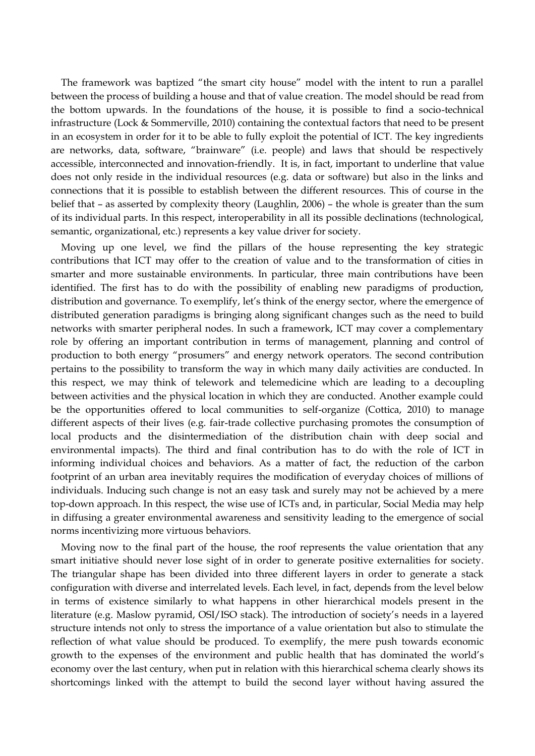The framework was baptized "the smart city house" model with the intent to run a parallel between the process of building a house and that of value creation. The model should be read from the bottom upwards. In the foundations of the house, it is possible to find a socio-technical infrastructure (Lock & Sommerville, 2010) containing the contextual factors that need to be present in an ecosystem in order for it to be able to fully exploit the potential of ICT. The key ingredients are networks, data, software, "brainware" (i.e. people) and laws that should be respectively accessible, interconnected and innovation-friendly. It is, in fact, important to underline that value does not only reside in the individual resources (e.g. data or software) but also in the links and connections that it is possible to establish between the different resources. This of course in the belief that – as asserted by complexity theory (Laughlin, 2006) – the whole is greater than the sum of its individual parts. In this respect, interoperability in all its possible declinations (technological, semantic, organizational, etc.) represents a key value driver for society.

Moving up one level, we find the pillars of the house representing the key strategic contributions that ICT may offer to the creation of value and to the transformation of cities in smarter and more sustainable environments. In particular, three main contributions have been identified. The first has to do with the possibility of enabling new paradigms of production, distribution and governance. To exemplify, let's think of the energy sector, where the emergence of distributed generation paradigms is bringing along significant changes such as the need to build networks with smarter peripheral nodes. In such a framework, ICT may cover a complementary role by offering an important contribution in terms of management, planning and control of production to both energy "prosumers" and energy network operators. The second contribution pertains to the possibility to transform the way in which many daily activities are conducted. In this respect, we may think of telework and telemedicine which are leading to a decoupling between activities and the physical location in which they are conducted. Another example could be the opportunities offered to local communities to self-organize (Cottica, 2010) to manage different aspects of their lives (e.g. fair-trade collective purchasing promotes the consumption of local products and the disintermediation of the distribution chain with deep social and environmental impacts). The third and final contribution has to do with the role of ICT in informing individual choices and behaviors. As a matter of fact, the reduction of the carbon footprint of an urban area inevitably requires the modification of everyday choices of millions of individuals. Inducing such change is not an easy task and surely may not be achieved by a mere top-down approach. In this respect, the wise use of ICTs and, in particular, Social Media may help in diffusing a greater environmental awareness and sensitivity leading to the emergence of social norms incentivizing more virtuous behaviors.

Moving now to the final part of the house, the roof represents the value orientation that any smart initiative should never lose sight of in order to generate positive externalities for society. The triangular shape has been divided into three different layers in order to generate a stack configuration with diverse and interrelated levels. Each level, in fact, depends from the level below in terms of existence similarly to what happens in other hierarchical models present in the literature (e.g. Maslow pyramid, OSI/ISO stack). The introduction of society's needs in a layered structure intends not only to stress the importance of a value orientation but also to stimulate the reflection of what value should be produced. To exemplify, the mere push towards economic growth to the expenses of the environment and public health that has dominated the world's economy over the last century, when put in relation with this hierarchical schema clearly shows its shortcomings linked with the attempt to build the second layer without having assured the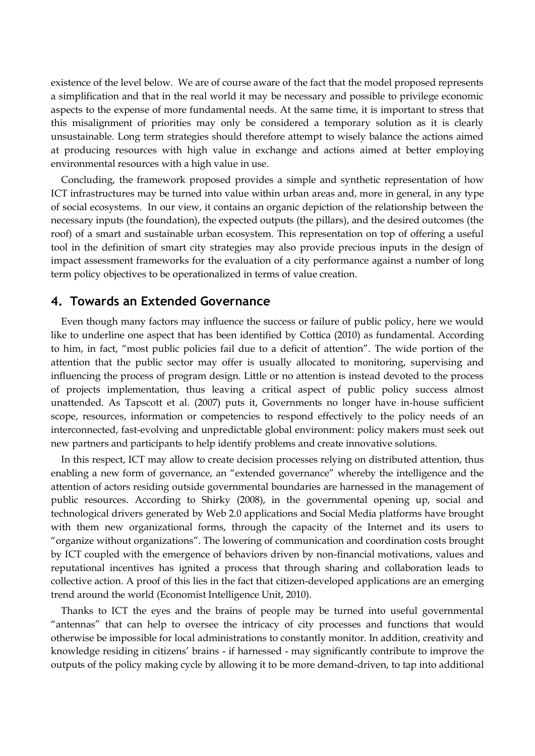existence of the level below. We are of course aware of the fact that the model proposed represents a simplification and that in the real world it may be necessary and possible to privilege economic aspects to the expense of more fundamental needs. At the same time, it is important to stress that this misalignment of priorities may only be considered a temporary solution as it is clearly unsustainable. Long term strategies should therefore attempt to wisely balance the actions aimed at producing resources with high value in exchange and actions aimed at better employing environmental resources with a high value in use.

Concluding, the framework proposed provides a simple and synthetic representation of how ICT infrastructures may be turned into value within urban areas and, more in general, in any type of social ecosystems. In our view, it contains an organic depiction of the relationship between the necessary inputs (the foundation), the expected outputs (the pillars), and the desired outcomes (the roof) of a smart and sustainable urban ecosystem. This representation on top of offering a useful tool in the definition of smart city strategies may also provide precious inputs in the design of impact assessment frameworks for the evaluation of a city performance against a number of long term policy objectives to be operationalized in terms of value creation.

### **4. Towards an Extended Governance**

Even though many factors may influence the success or failure of public policy, here we would like to underline one aspect that has been identified by Cottica (2010) as fundamental. According to him, in fact, "most public policies fail due to a deficit of attention". The wide portion of the attention that the public sector may offer is usually allocated to monitoring, supervising and influencing the process of program design. Little or no attention is instead devoted to the process of projects implementation, thus leaving a critical aspect of public policy success almost unattended. As Tapscott et al. (2007) puts it, Governments no longer have in-house sufficient scope, resources, information or competencies to respond effectively to the policy needs of an interconnected, fast-evolving and unpredictable global environment: policy makers must seek out new partners and participants to help identify problems and create innovative solutions.

In this respect, ICT may allow to create decision processes relying on distributed attention, thus enabling a new form of governance, an "extended governance" whereby the intelligence and the attention of actors residing outside governmental boundaries are harnessed in the management of public resources. According to Shirky (2008), in the governmental opening up, social and technological drivers generated by Web 2.0 applications and Social Media platforms have brought with them new organizational forms, through the capacity of the Internet and its users to "organize without organizations". The lowering of communication and coordination costs brought by ICT coupled with the emergence of behaviors driven by non-financial motivations, values and reputational incentives has ignited a process that through sharing and collaboration leads to collective action. A proof of this lies in the fact that citizen-developed applications are an emerging trend around the world (Economist Intelligence Unit, 2010).

Thanks to ICT the eyes and the brains of people may be turned into useful governmental "antennas" that can help to oversee the intricacy of city processes and functions that would otherwise be impossible for local administrations to constantly monitor. In addition, creativity and knowledge residing in citizens' brains - if harnessed - may significantly contribute to improve the outputs of the policy making cycle by allowing it to be more demand-driven, to tap into additional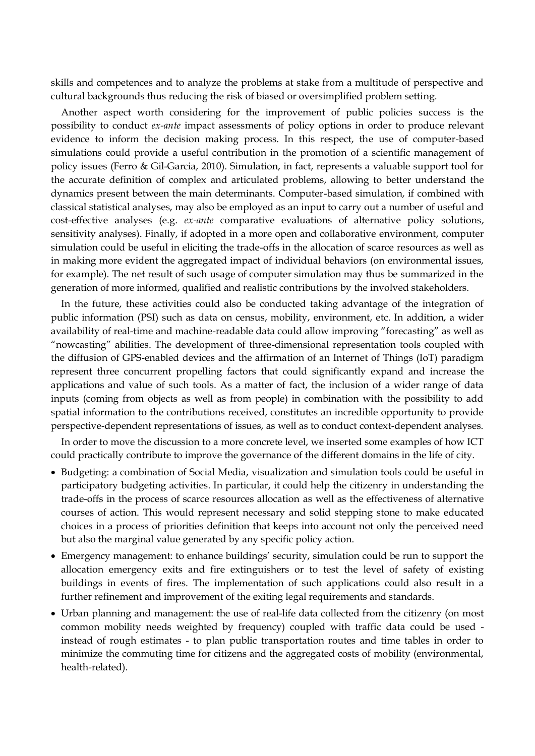skills and competences and to analyze the problems at stake from a multitude of perspective and cultural backgrounds thus reducing the risk of biased or oversimplified problem setting.

Another aspect worth considering for the improvement of public policies success is the possibility to conduct *ex-ante* impact assessments of policy options in order to produce relevant evidence to inform the decision making process. In this respect, the use of computer-based simulations could provide a useful contribution in the promotion of a scientific management of policy issues (Ferro & Gil-Garcia, 2010). Simulation, in fact, represents a valuable support tool for the accurate definition of complex and articulated problems, allowing to better understand the dynamics present between the main determinants. Computer-based simulation, if combined with classical statistical analyses, may also be employed as an input to carry out a number of useful and cost-effective analyses (e.g. *ex-ante* comparative evaluations of alternative policy solutions, sensitivity analyses). Finally, if adopted in a more open and collaborative environment, computer simulation could be useful in eliciting the trade-offs in the allocation of scarce resources as well as in making more evident the aggregated impact of individual behaviors (on environmental issues, for example). The net result of such usage of computer simulation may thus be summarized in the generation of more informed, qualified and realistic contributions by the involved stakeholders.

In the future, these activities could also be conducted taking advantage of the integration of public information (PSI) such as data on census, mobility, environment, etc. In addition, a wider availability of real-time and machine-readable data could allow improving "forecasting" as well as "nowcasting" abilities. The development of three-dimensional representation tools coupled with the diffusion of GPS-enabled devices and the affirmation of an Internet of Things (IoT) paradigm represent three concurrent propelling factors that could significantly expand and increase the applications and value of such tools. As a matter of fact, the inclusion of a wider range of data inputs (coming from objects as well as from people) in combination with the possibility to add spatial information to the contributions received, constitutes an incredible opportunity to provide perspective-dependent representations of issues, as well as to conduct context-dependent analyses.

In order to move the discussion to a more concrete level, we inserted some examples of how ICT could practically contribute to improve the governance of the different domains in the life of city.

- Budgeting: a combination of Social Media, visualization and simulation tools could be useful in participatory budgeting activities. In particular, it could help the citizenry in understanding the trade-offs in the process of scarce resources allocation as well as the effectiveness of alternative courses of action. This would represent necessary and solid stepping stone to make educated choices in a process of priorities definition that keeps into account not only the perceived need but also the marginal value generated by any specific policy action.
- Emergency management: to enhance buildings' security, simulation could be run to support the allocation emergency exits and fire extinguishers or to test the level of safety of existing buildings in events of fires. The implementation of such applications could also result in a further refinement and improvement of the exiting legal requirements and standards.
- Urban planning and management: the use of real-life data collected from the citizenry (on most common mobility needs weighted by frequency) coupled with traffic data could be used instead of rough estimates - to plan public transportation routes and time tables in order to minimize the commuting time for citizens and the aggregated costs of mobility (environmental, health-related).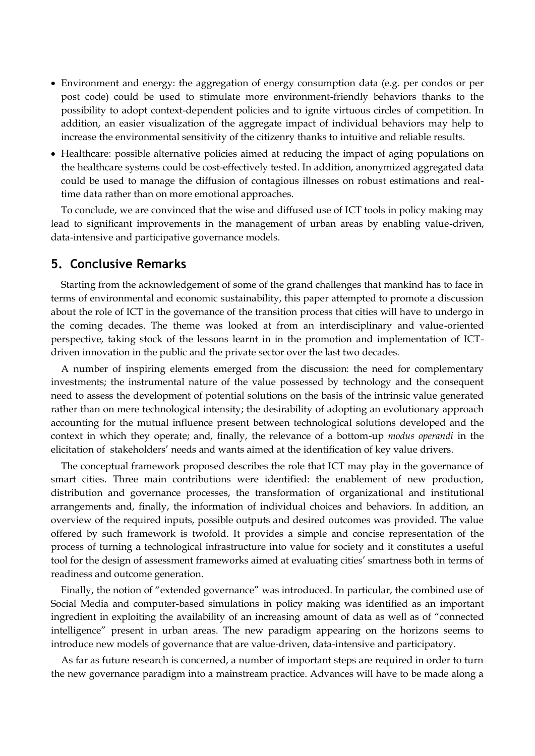- Environment and energy: the aggregation of energy consumption data (e.g. per condos or per post code) could be used to stimulate more environment-friendly behaviors thanks to the possibility to adopt context-dependent policies and to ignite virtuous circles of competition. In addition, an easier visualization of the aggregate impact of individual behaviors may help to increase the environmental sensitivity of the citizenry thanks to intuitive and reliable results.
- Healthcare: possible alternative policies aimed at reducing the impact of aging populations on the healthcare systems could be cost-effectively tested. In addition, anonymized aggregated data could be used to manage the diffusion of contagious illnesses on robust estimations and realtime data rather than on more emotional approaches.

To conclude, we are convinced that the wise and diffused use of ICT tools in policy making may lead to significant improvements in the management of urban areas by enabling value-driven, data-intensive and participative governance models.

### **5. Conclusive Remarks**

Starting from the acknowledgement of some of the grand challenges that mankind has to face in terms of environmental and economic sustainability, this paper attempted to promote a discussion about the role of ICT in the governance of the transition process that cities will have to undergo in the coming decades. The theme was looked at from an interdisciplinary and value-oriented perspective, taking stock of the lessons learnt in in the promotion and implementation of ICTdriven innovation in the public and the private sector over the last two decades.

A number of inspiring elements emerged from the discussion: the need for complementary investments; the instrumental nature of the value possessed by technology and the consequent need to assess the development of potential solutions on the basis of the intrinsic value generated rather than on mere technological intensity; the desirability of adopting an evolutionary approach accounting for the mutual influence present between technological solutions developed and the context in which they operate; and, finally, the relevance of a bottom-up *modus operandi* in the elicitation of stakeholders' needs and wants aimed at the identification of key value drivers.

The conceptual framework proposed describes the role that ICT may play in the governance of smart cities. Three main contributions were identified: the enablement of new production, distribution and governance processes, the transformation of organizational and institutional arrangements and, finally, the information of individual choices and behaviors. In addition, an overview of the required inputs, possible outputs and desired outcomes was provided. The value offered by such framework is twofold. It provides a simple and concise representation of the process of turning a technological infrastructure into value for society and it constitutes a useful tool for the design of assessment frameworks aimed at evaluating cities' smartness both in terms of readiness and outcome generation.

Finally, the notion of "extended governance" was introduced. In particular, the combined use of Social Media and computer-based simulations in policy making was identified as an important ingredient in exploiting the availability of an increasing amount of data as well as of "connected intelligence" present in urban areas. The new paradigm appearing on the horizons seems to introduce new models of governance that are value-driven, data-intensive and participatory.

As far as future research is concerned, a number of important steps are required in order to turn the new governance paradigm into a mainstream practice. Advances will have to be made along a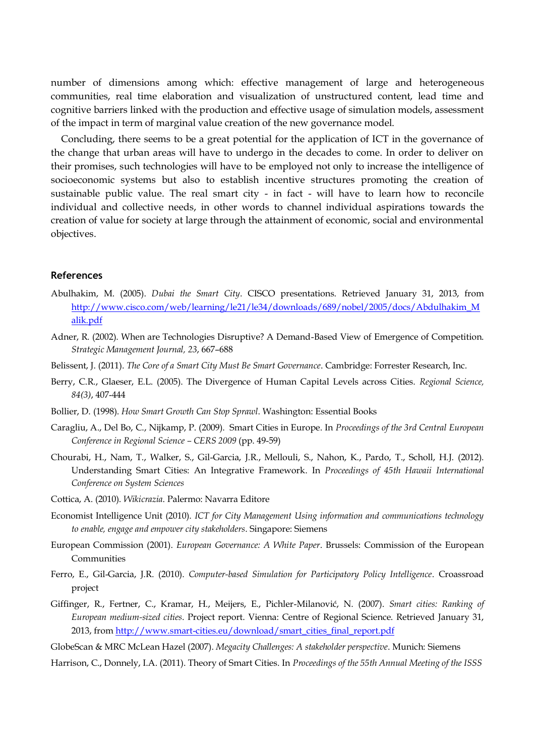number of dimensions among which: effective management of large and heterogeneous communities, real time elaboration and visualization of unstructured content, lead time and cognitive barriers linked with the production and effective usage of simulation models, assessment of the impact in term of marginal value creation of the new governance model.

Concluding, there seems to be a great potential for the application of ICT in the governance of the change that urban areas will have to undergo in the decades to come. In order to deliver on their promises, such technologies will have to be employed not only to increase the intelligence of socioeconomic systems but also to establish incentive structures promoting the creation of sustainable public value. The real smart city - in fact - will have to learn how to reconcile individual and collective needs, in other words to channel individual aspirations towards the creation of value for society at large through the attainment of economic, social and environmental objectives.

#### **References**

- Abulhakim, M. (2005). *Dubai the Smart City*. CISCO presentations. Retrieved January 31, 2013, from [http://www.cisco.com/web/learning/le21/le34/downloads/689/nobel/2005/docs/Abdulhakim\\_M](http://www.cisco.com/web/learning/le21/le34/downloads/689/nobel/2005/docs/Abdulhakim_Malik.pdf) [alik.pdf](http://www.cisco.com/web/learning/le21/le34/downloads/689/nobel/2005/docs/Abdulhakim_Malik.pdf)
- Adner, R. (2002). When are Technologies Disruptive? A Demand-Based View of Emergence of Competition. *Strategic Management Journal, 23*, 667–688
- Belissent, J. (2011). *The Core of a Smart City Must Be Smart Governance*. Cambridge: Forrester Research, Inc.
- Berry, C.R., Glaeser, E.L. (2005). The Divergence of Human Capital Levels across Cities. *Regional Science, 84(3)*, 407-444
- Bollier, D. (1998). *How Smart Growth Can Stop Sprawl*. Washington: Essential Books
- Caragliu, A., Del Bo, C., Nijkamp, P. (2009). Smart Cities in Europe. In *Proceedings of the 3rd Central European Conference in Regional Science – CERS 2009* (pp. 49-59)
- Chourabi, H., Nam, T., Walker, S., Gil-Garcia, J.R., Mellouli, S., Nahon, K., Pardo, T., Scholl, H.J. (2012). Understanding Smart Cities: An Integrative Framework. In *Proceedings of 45th Hawaii International Conference on System Sciences*
- Cottica, A. (2010). *Wikicrazia*. Palermo: Navarra Editore
- Economist Intelligence Unit (2010). *ICT for City Management Using information and communications technology to enable, engage and empower city stakeholders*. Singapore: Siemens
- European Commission (2001). *European Governance: A White Paper*. Brussels: Commission of the European Communities
- Ferro, E., Gil-Garcia, J.R. (2010). *Computer-based Simulation for Participatory Policy Intelligence*. Croassroad project
- Giffinger, R., Fertner, C., Kramar, H., Meijers, E., Pichler-Milanović, N. (2007). *Smart cities: Ranking of European medium-sized cities*. Project report. Vienna: Centre of Regional Science. Retrieved January 31, 2013, fro[m http://www.smart-cities.eu/download/smart\\_cities\\_final\\_report.pdf](http://www.smart-cities.eu/download/smart_cities_final_report.pdf)
- GlobeScan & MRC McLean Hazel (2007). *Megacity Challenges: A stakeholder perspective*. Munich: Siemens
- Harrison, C., Donnely, I.A. (2011). Theory of Smart Cities. In *Proceedings of the 55th Annual Meeting of the ISSS*